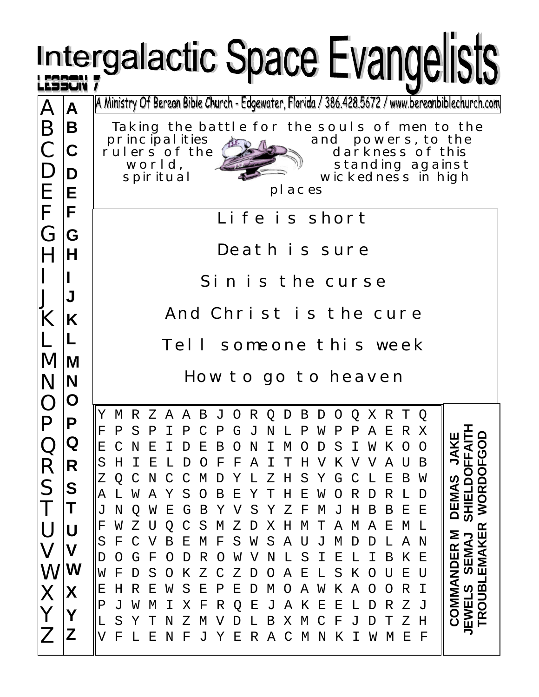|                                                                                                                                                                  |                                  | Intergalactic Space Evangelists                                                                                                                                                                                                                                                                                                                                                                                                                                                                                                                                                                                                                                                                                                                                                                                                                                                                                                                                                                                                                                                                                                                                                                                                                                                                                                                                                                                                                                                                                                |
|------------------------------------------------------------------------------------------------------------------------------------------------------------------|----------------------------------|--------------------------------------------------------------------------------------------------------------------------------------------------------------------------------------------------------------------------------------------------------------------------------------------------------------------------------------------------------------------------------------------------------------------------------------------------------------------------------------------------------------------------------------------------------------------------------------------------------------------------------------------------------------------------------------------------------------------------------------------------------------------------------------------------------------------------------------------------------------------------------------------------------------------------------------------------------------------------------------------------------------------------------------------------------------------------------------------------------------------------------------------------------------------------------------------------------------------------------------------------------------------------------------------------------------------------------------------------------------------------------------------------------------------------------------------------------------------------------------------------------------------------------|
| $\mathbf{A}$<br>B<br>$\mathsf{C}$<br>D<br>E                                                                                                                      | A<br>B<br>$ {\bf C} $<br>D<br>ΙE | A Ministry Of Berean Bible Church - Edgewater, Florida / 386.428.5672 / www.bereanbiblechurch.com<br>Taking the battle for the souls of men to the<br>principal ities<br>and powers, to the<br>rulers of the<br>darkness of this<br>standing against<br>world,<br>wickedness in high<br>spiritual<br>pl aces                                                                                                                                                                                                                                                                                                                                                                                                                                                                                                                                                                                                                                                                                                                                                                                                                                                                                                                                                                                                                                                                                                                                                                                                                   |
| F<br>G<br>IG<br>H<br>H<br>J<br>K<br>K<br>M<br>M<br>N<br>N<br>O<br>D<br>Г<br>Q<br>R<br>R<br>S<br>S<br>Τ<br>U<br>V<br>W<br>W<br>X<br>Χ<br>Y<br>$\overline{Z}$<br>Z | F                                | Life is short<br>Death is sure<br>Sin is the curse<br>And Christ is the cure<br>Tell someone this week                                                                                                                                                                                                                                                                                                                                                                                                                                                                                                                                                                                                                                                                                                                                                                                                                                                                                                                                                                                                                                                                                                                                                                                                                                                                                                                                                                                                                         |
|                                                                                                                                                                  |                                  | How to go to heaven<br>M R Z A A B J O R Q D B D O Q X R T Q<br>Υ<br>$\mathbf F$<br>S<br>Ρ<br>Ρ<br>С<br>Ρ<br>Ν<br>Ρ<br>Ρ<br>Ε<br>R<br>Ρ<br>G<br>J<br>L<br>W<br>Ρ<br>Α<br>Χ<br>ہ<br>Ш<br>O<br>JAK<br>FFAI<br>Ε<br>К<br>Ε<br>Ε<br>Β<br>S<br>Ι<br>W<br>N<br>N<br>М<br>0<br>O<br>O<br>D<br>O<br>СÓ<br>Н<br>F<br>Κ<br>S<br>Ε<br>F<br>Α<br>т<br>Η<br>V<br>Α<br>Η<br>Ι<br>В<br>SHIELDO<br>OO<br>S<br>Υ<br>Ε<br>Ζ<br>М<br>Υ<br>Η<br>G<br>С<br>Β<br>N<br>D<br>L<br>Ζ<br>L<br>W<br><u>ທ</u><br>DEMA<br><b>WOR</b><br>S<br>Α<br>Β<br>Ε<br>Υ<br>Н<br>Ε<br>R<br>R<br>А<br>W<br>Υ<br>Ο<br>W<br>Ο<br>L<br>L<br>D<br>S<br>J<br>N<br>Ε<br>Β<br>Υ<br>V<br>Ζ<br>F<br>J<br>Η<br>Β<br>В<br>Ε<br>Ε<br>W<br>G<br>Υ<br>М<br>Q<br>S<br>Ζ<br>М<br>Н<br>Ε<br>F<br>Ζ<br>Χ<br>М<br>Τ<br>Α<br>M<br>М<br>L<br>W<br>Α<br>œ<br>COMMANDER M<br>EMAKE<br>SEMAJ<br>S<br>F<br>Ε<br>М<br>F<br>S<br>S<br>Α<br>М<br>Α<br>В<br>W<br>U<br>D<br>L<br>N<br>D<br>F<br>Κ<br>R<br>Ν<br>L<br>S<br>Ε<br>В<br>Ε<br>G<br>W<br>V<br>I<br>D<br>Ő<br>D<br>Ő<br>S<br>Ζ<br>Ε<br>S<br>Κ<br>Ε<br>W<br>F<br>Κ<br>Ζ<br>Α<br>L<br>U<br>U<br>D<br>O<br>Ő<br>Ő<br><b>TROUBL</b><br>EWELS<br>Ι<br>R<br>Ε<br>S<br>Ε<br>Ρ<br>Ε<br>Α<br>Κ<br>Α<br>R<br>Ε<br>Η<br>W<br>W<br>D<br>М<br>O<br>Ő<br>Ő<br>Ζ<br>J<br>Ρ<br>Χ<br>F<br>R<br>Е<br>Α<br>K<br>Ε<br>L<br>R<br>W<br>Q<br>J<br>Е<br>D<br>J<br>М<br>S<br>Χ<br>Ζ<br>Η<br>Υ<br>N<br>Ζ<br>V<br>Β<br>М<br>F<br>J<br>т<br>L<br>М<br>D<br>L<br>V<br>F<br>L<br>Ε<br>F<br>C<br>N<br>Κ<br>М<br>Ε<br>$_{\rm F}$<br>Ν<br>J<br>Υ<br>Ε<br>R<br>Α<br>М<br>Ι<br>W |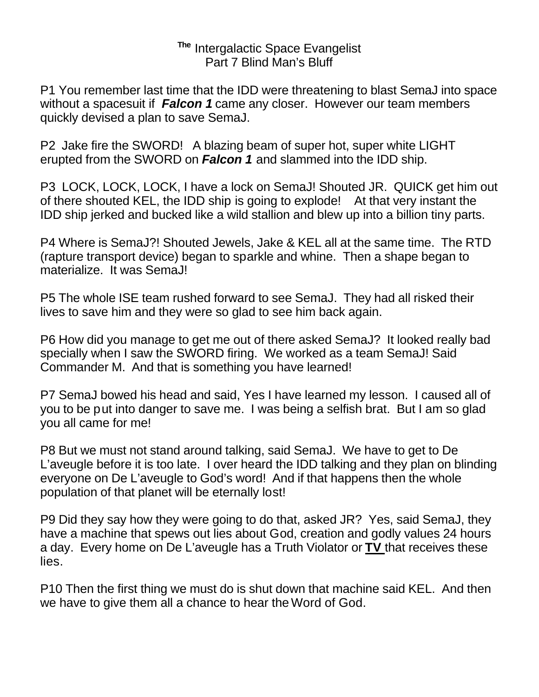## **The** Intergalactic Space Evangelist Part 7 Blind Man's Bluff

P1 You remember last time that the IDD were threatening to blast SemaJ into space without a spacesuit if *Falcon 1* came any closer. However our team members quickly devised a plan to save SemaJ.

P2 Jake fire the SWORD! A blazing beam of super hot, super white LIGHT erupted from the SWORD on *Falcon 1* and slammed into the IDD ship.

P3 LOCK, LOCK, LOCK, I have a lock on SemaJ! Shouted JR. QUICK get him out of there shouted KEL, the IDD ship is going to explode! At that very instant the IDD ship jerked and bucked like a wild stallion and blew up into a billion tiny parts.

P4 Where is SemaJ?! Shouted Jewels, Jake & KEL all at the same time. The RTD (rapture transport device) began to sparkle and whine. Then a shape began to materialize. It was SemaJ!

P5 The whole ISE team rushed forward to see SemaJ. They had all risked their lives to save him and they were so glad to see him back again.

P6 How did you manage to get me out of there asked SemaJ? It looked really bad specially when I saw the SWORD firing. We worked as a team SemaJ! Said Commander M. And that is something you have learned!

P7 SemaJ bowed his head and said, Yes I have learned my lesson. I caused all of you to be put into danger to save me. I was being a selfish brat. But I am so glad you all came for me!

P8 But we must not stand around talking, said SemaJ. We have to get to De L'aveugle before it is too late. I over heard the IDD talking and they plan on blinding everyone on De L'aveugle to God's word! And if that happens then the whole population of that planet will be eternally lost!

P9 Did they say how they were going to do that, asked JR? Yes, said SemaJ, they have a machine that spews out lies about God, creation and godly values 24 hours a day. Every home on De L'aveugle has a Truth Violator or **TV** that receives these lies.

P10 Then the first thing we must do is shut down that machine said KEL. And then we have to give them all a chance to hear the Word of God.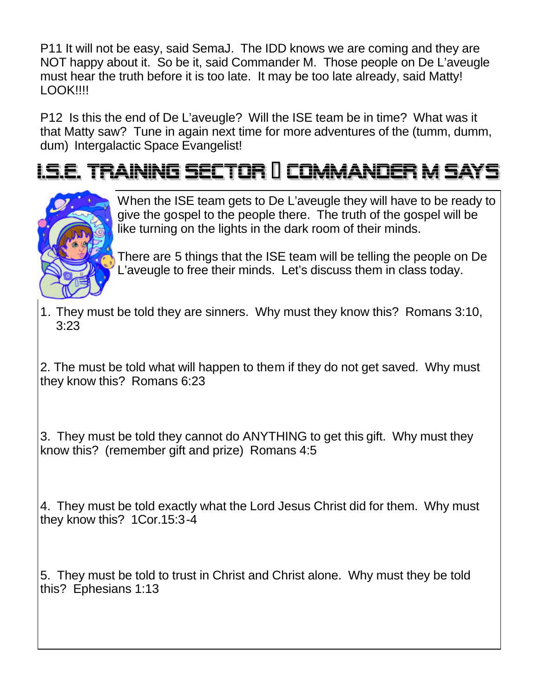P11 It will not be easy, said SemaJ. The IDD knows we are coming and they are NOT happy about it. So be it, said Commander M. Those people on De L'aveugle must hear the truth before it is too late. It may be too late already, said Matty! LOOK!!!!

P12 Is this the end of De L'aveugle? Will the ISE team be in time? What was it that Matty saw? Tune in again next time for more adventures of the (tumm, dumm, dum) Intergalactic Space Evangelist!

## <u>LS.E. TRAINING SECTOR II COMMANDER M SAYS</u>



When the ISE team gets to De L'aveugle they will have to be ready to give the gospel to the people there. The truth of the gospel will be like turning on the lights in the dark room of their minds.

There are 5 things that the ISE team will be telling the people on De L'aveugle to free their minds. Let's discuss them in class today.

1. They must be told they are sinners. Why must they know this? Romans 3:10, 3:23

2. The must be told what will happen to them if they do not get saved. Why must they know this? Romans 6:23

3. They must be told they cannot do ANYTHING to get this gift. Why must they know this? (remember gift and prize) Romans 4:5

4. They must be told exactly what the Lord Jesus Christ did for them. Why must they know this? 1Cor.15:3-4

5. They must be told to trust in Christ and Christ alone. Why must they be told this? Ephesians 1:13